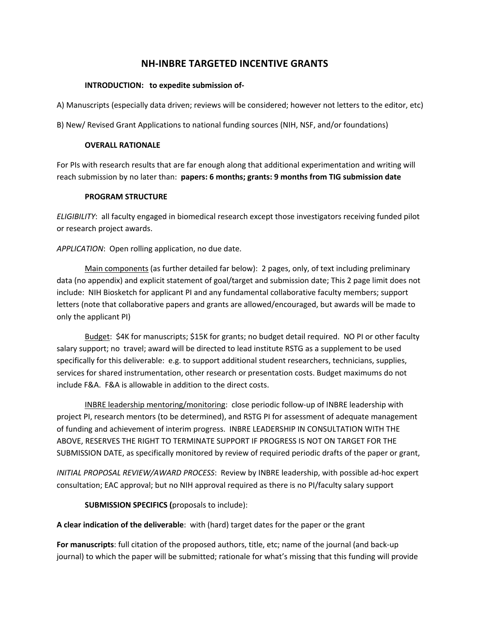## **NH-INBRE TARGETED INCENTIVE GRANTS**

## **INTRODUCTION: to expedite submission of-**

A) Manuscripts (especially data driven; reviews will be considered; however not letters to the editor, etc)

B) New/ Revised Grant Applications to national funding sources (NIH, NSF, and/or foundations)

## **OVERALL RATIONALE**

For PIs with research results that are far enough along that additional experimentation and writing will reach submission by no later than: **papers: 6 months; grants: 9 months from TIG submission date**

## **PROGRAM STRUCTURE**

*ELIGIBILITY*: all faculty engaged in biomedical research except those investigators receiving funded pilot or research project awards.

*APPLICATION*: Open rolling application, no due date.

Main components (as further detailed far below): 2 pages, only, of text including preliminary data (no appendix) and explicit statement of goal/target and submission date; This 2 page limit does not include: NIH Biosketch for applicant PI and any fundamental collaborative faculty members; support letters (note that collaborative papers and grants are allowed/encouraged, but awards will be made to only the applicant PI)

Budget: \$4K for manuscripts; \$15K for grants; no budget detail required. NO PI or other faculty salary support; no travel; award will be directed to lead institute RSTG as a supplement to be used specifically for this deliverable: e.g. to support additional student researchers, technicians, supplies, services for shared instrumentation, other research or presentation costs. Budget maximums do not include F&A. F&A is allowable in addition to the direct costs.

INBRE leadership mentoring/monitoring: close periodic follow-up of INBRE leadership with project PI, research mentors (to be determined), and RSTG PI for assessment of adequate management of funding and achievement of interim progress. INBRE LEADERSHIP IN CONSULTATION WITH THE ABOVE, RESERVES THE RIGHT TO TERMINATE SUPPORT IF PROGRESS IS NOT ON TARGET FOR THE SUBMISSION DATE, as specifically monitored by review of required periodic drafts of the paper or grant,

*INITIAL PROPOSAL REVIEW/AWARD PROCESS*: Review by INBRE leadership, with possible ad-hoc expert consultation; EAC approval; but no NIH approval required as there is no PI/faculty salary support

**SUBMISSION SPECIFICS (**proposals to include):

**A clear indication of the deliverable**: with (hard) target dates for the paper or the grant

**For manuscripts**: full citation of the proposed authors, title, etc; name of the journal (and back-up journal) to which the paper will be submitted; rationale for what's missing that this funding will provide